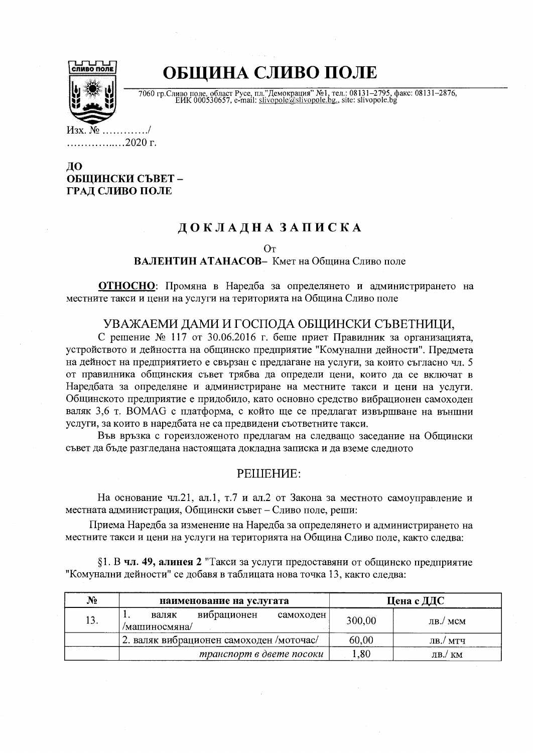

# ОБЩИНА СЛИВО ПОЛЕ

7060 гр. Сливо поле, област Русе, пл."Демокрация" №1, тел.: 08131-2795, факс: 08131-2876, ЕИК 000530657, e-mail: slivopole@slivopole.bg, site: slivopole.bg

. . . . . . . . . . / ..................2020 г.

### ДО ОБЩИНСКИ СЪВЕТ-ГРАД СЛИВО ПОЛЕ

## ДОКЛАДНА ЗАПИСКА

От

ВАЛЕНТИН АТАНАСОВ- Кмет на Община Сливо поле

ОТНОСНО: Промяна в Наредба за определянето и администрирането на местните такси и цени на услуги на територията на Община Сливо поле

### УВАЖАЕМИ ДАМИ И ГОСПОДА ОБЩИНСКИ СЪВЕТНИЦИ.

С решение № 117 от 30.06.2016 г. беше приет Правилник за организацията, устройството и дейността на общинско предприятие "Комунални дейности". Предмета на дейност на предприятието е свързан с предлагане на услуги, за които съгласно чл. 5 от правилника общинския съвет трябва да определи цени, които да се включат в Наредбата за определяне и администриране на местните такси и цени на услуги. Общинското предприятие е придобило, като основно средство вибрационен самоходен валяк 3.6 т. ВОМАС с платформа, с който ще се предлагат извършване на външни услуги, за които в наредбата не са предвидени съответните такси.

Във връзка с гореизложеното предлагам на следващо заседание на Общински съвет да бъде разгледана настоящата докладна записка и да вземе следното

#### PEILIEHME:

На основание чл.21, ал.1, т.7 и ал.2 от Закона за местното самоуправление и местната администрация, Общински съвет – Сливо поле, реши:

Приема Наредба за изменение на Наредба за определянето и администрирането на местните такси и цени на услуги на територията на Община Сливо поле, както следва:

 $§1. B$  чл. 49, алинея 2 "Такси за услуги предоставяни от общинско предприятие "Комунални дейности" се добавя в таблицата нова точка 13, както следва:

| N <sub>2</sub> | наименование на услугата                           |        | Цена с ДДС                      |  |
|----------------|----------------------------------------------------|--------|---------------------------------|--|
| 13.            | вибрационен<br>валяк<br>самоходен<br>/машиносмяна/ | 300,00 | $\overline{AB}/\overline{M}$ CM |  |
|                | 2. валяк вибрационен самоходен /моточас/           | 60,00  | ЛВ./ МТЧ                        |  |
|                | транспорт в двете посоки                           | 0.80   | $\overline{AB}$ ./ KM           |  |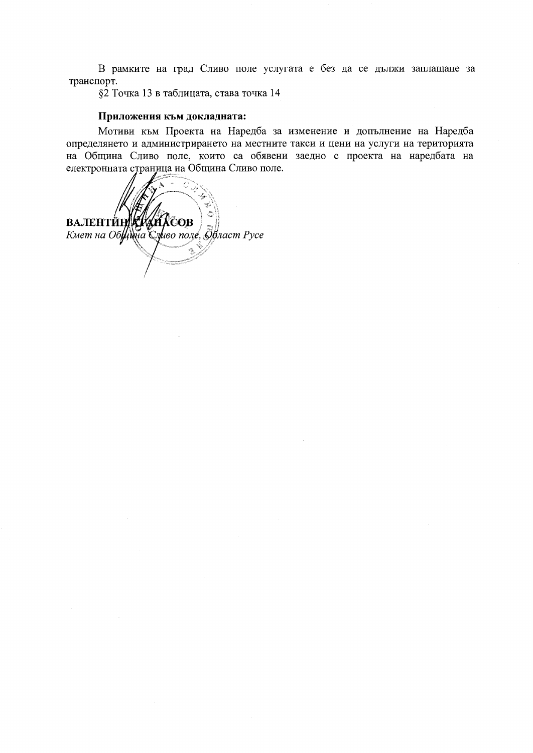В рамките на град Сливо поле услугата е без да се дължи заплащане за транспорт.

§2 Точка 13 в таблицата, става точка 14

#### Приложения към докладната:

Мотиви към Проекта на Наредба за изменение и допълнение на Наредба определянето и администрирането на местните такси и цени на услуги на територията на Община Сливо поле, които са обявени заедно с проекта на наредбата на електронната страница на Община Сливо поле.

**ВАЛЕНТИНИЗИЛНОВ**<br>Кмет на ОбЩина Сливо поле, брласт Русе